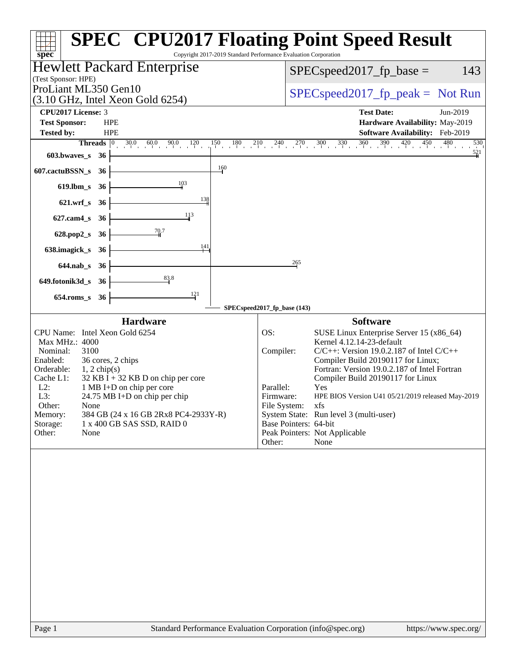| Copyright 2017-2019 Standard Performance Evaluation Corporation<br>$spec^*$                                                                                                                                                                                                                                                                                                                                                   | <b>SPEC<sup>®</sup> CPU2017 Floating Point Speed Result</b>                                                                                                                                                                                                                                                                                                                                                                                                                                                                 |
|-------------------------------------------------------------------------------------------------------------------------------------------------------------------------------------------------------------------------------------------------------------------------------------------------------------------------------------------------------------------------------------------------------------------------------|-----------------------------------------------------------------------------------------------------------------------------------------------------------------------------------------------------------------------------------------------------------------------------------------------------------------------------------------------------------------------------------------------------------------------------------------------------------------------------------------------------------------------------|
| <b>Hewlett Packard Enterprise</b>                                                                                                                                                                                                                                                                                                                                                                                             | 143                                                                                                                                                                                                                                                                                                                                                                                                                                                                                                                         |
| (Test Sponsor: HPE)                                                                                                                                                                                                                                                                                                                                                                                                           | $SPEC speed2017fp base =$                                                                                                                                                                                                                                                                                                                                                                                                                                                                                                   |
| ProLiant ML350 Gen10                                                                                                                                                                                                                                                                                                                                                                                                          | $SPEC speed2017rfp peak = Not Run$                                                                                                                                                                                                                                                                                                                                                                                                                                                                                          |
| $(3.10 \text{ GHz}, \text{Intel Xeon Gold } 6254)$                                                                                                                                                                                                                                                                                                                                                                            | <b>Test Date:</b>                                                                                                                                                                                                                                                                                                                                                                                                                                                                                                           |
| CPU2017 License: 3<br><b>Test Sponsor:</b><br><b>HPE</b>                                                                                                                                                                                                                                                                                                                                                                      | Jun-2019<br>Hardware Availability: May-2019                                                                                                                                                                                                                                                                                                                                                                                                                                                                                 |
| Tested by:<br><b>HPE</b>                                                                                                                                                                                                                                                                                                                                                                                                      | Software Availability: Feb-2019                                                                                                                                                                                                                                                                                                                                                                                                                                                                                             |
| <b>Threads</b> $\vert 0 \rangle$<br>30.0<br>$\frac{0}{1}$ 60.0 90.0 120                                                                                                                                                                                                                                                                                                                                                       | $150$ $180$ $210$ $240$ $270$ $300$ $330$ $360$ $390$ $420$ $450$ $480$<br>530                                                                                                                                                                                                                                                                                                                                                                                                                                              |
| 603.bwaves_s<br>36                                                                                                                                                                                                                                                                                                                                                                                                            | $\frac{521}{4}$                                                                                                                                                                                                                                                                                                                                                                                                                                                                                                             |
| 160<br>607.cactuBSSN_s<br>36                                                                                                                                                                                                                                                                                                                                                                                                  |                                                                                                                                                                                                                                                                                                                                                                                                                                                                                                                             |
| 103<br>$619$ .lbm_s<br>36                                                                                                                                                                                                                                                                                                                                                                                                     |                                                                                                                                                                                                                                                                                                                                                                                                                                                                                                                             |
| 138<br>$621.wrf$ <sub>S</sub><br>36                                                                                                                                                                                                                                                                                                                                                                                           |                                                                                                                                                                                                                                                                                                                                                                                                                                                                                                                             |
| 113<br>$627$ .cam $4_s$<br>36                                                                                                                                                                                                                                                                                                                                                                                                 |                                                                                                                                                                                                                                                                                                                                                                                                                                                                                                                             |
| 70.7                                                                                                                                                                                                                                                                                                                                                                                                                          |                                                                                                                                                                                                                                                                                                                                                                                                                                                                                                                             |
| $628.pop2_s$<br>36<br>141                                                                                                                                                                                                                                                                                                                                                                                                     |                                                                                                                                                                                                                                                                                                                                                                                                                                                                                                                             |
| 638.imagick_s<br>- 36                                                                                                                                                                                                                                                                                                                                                                                                         |                                                                                                                                                                                                                                                                                                                                                                                                                                                                                                                             |
| $644$ .nab_s<br>- 36                                                                                                                                                                                                                                                                                                                                                                                                          | 265                                                                                                                                                                                                                                                                                                                                                                                                                                                                                                                         |
| 83.8<br>649.fotonik3d_s 36                                                                                                                                                                                                                                                                                                                                                                                                    |                                                                                                                                                                                                                                                                                                                                                                                                                                                                                                                             |
| 121<br>654.roms_s<br>36                                                                                                                                                                                                                                                                                                                                                                                                       |                                                                                                                                                                                                                                                                                                                                                                                                                                                                                                                             |
|                                                                                                                                                                                                                                                                                                                                                                                                                               | SPECspeed2017_fp_base (143)                                                                                                                                                                                                                                                                                                                                                                                                                                                                                                 |
| <b>Hardware</b><br>CPU Name: Intel Xeon Gold 6254<br>Max MHz.: 4000<br>Nominal:<br>3100<br>36 cores, 2 chips<br>Enabled:<br>Orderable:<br>$1, 2$ chip(s)<br>Cache L1:<br>$32$ KB I + 32 KB D on chip per core<br>1 MB I+D on chip per core<br>$L2$ :<br>L3:<br>24.75 MB I+D on chip per chip<br>Other:<br>None<br>Memory:<br>384 GB (24 x 16 GB 2Rx8 PC4-2933Y-R)<br>Storage:<br>1 x 400 GB SAS SSD, RAID 0<br>Other:<br>None | <b>Software</b><br>OS:<br>SUSE Linux Enterprise Server 15 (x86_64)<br>Kernel 4.12.14-23-default<br>$C/C++$ : Version 19.0.2.187 of Intel $C/C++$<br>Compiler:<br>Compiler Build 20190117 for Linux;<br>Fortran: Version 19.0.2.187 of Intel Fortran<br>Compiler Build 20190117 for Linux<br>Parallel:<br>Yes<br>Firmware:<br>HPE BIOS Version U41 05/21/2019 released May-2019<br>File System:<br>xfs<br>System State: Run level 3 (multi-user)<br>Base Pointers: 64-bit<br>Peak Pointers: Not Applicable<br>Other:<br>None |
|                                                                                                                                                                                                                                                                                                                                                                                                                               |                                                                                                                                                                                                                                                                                                                                                                                                                                                                                                                             |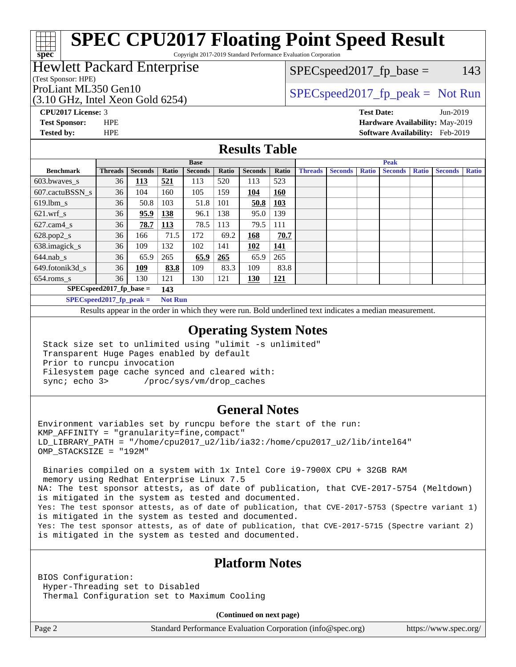# **[SPEC CPU2017 Floating Point Speed Result](http://www.spec.org/auto/cpu2017/Docs/result-fields.html#SPECCPU2017FloatingPointSpeedResult)**

Copyright 2017-2019 Standard Performance Evaluation Corporation

## Hewlett Packard Enterprise

(Test Sponsor: HPE)

**[spec](http://www.spec.org/)**

(3.10 GHz, Intel Xeon Gold 6254)

 $SPEC speed2017<sub>fp</sub> base = 143$ 

## ProLiant ML350 Gen10  $SPEC speed2017$  [p\_peak = Not Run

**[CPU2017 License:](http://www.spec.org/auto/cpu2017/Docs/result-fields.html#CPU2017License)** 3 **[Test Date:](http://www.spec.org/auto/cpu2017/Docs/result-fields.html#TestDate)** Jun-2019 **[Test Sponsor:](http://www.spec.org/auto/cpu2017/Docs/result-fields.html#TestSponsor)** HPE **[Hardware Availability:](http://www.spec.org/auto/cpu2017/Docs/result-fields.html#HardwareAvailability)** May-2019 **[Tested by:](http://www.spec.org/auto/cpu2017/Docs/result-fields.html#Testedby)** HPE **[Software Availability:](http://www.spec.org/auto/cpu2017/Docs/result-fields.html#SoftwareAvailability)** Feb-2019

#### **[Results Table](http://www.spec.org/auto/cpu2017/Docs/result-fields.html#ResultsTable)**

|                                   | <b>Base</b>                |                |                |                |       | <b>Peak</b>    |            |                |                |              |                |              |                |              |
|-----------------------------------|----------------------------|----------------|----------------|----------------|-------|----------------|------------|----------------|----------------|--------------|----------------|--------------|----------------|--------------|
| <b>Benchmark</b>                  | <b>Threads</b>             | <b>Seconds</b> | Ratio          | <b>Seconds</b> | Ratio | <b>Seconds</b> | Ratio      | <b>Threads</b> | <b>Seconds</b> | <b>Ratio</b> | <b>Seconds</b> | <b>Ratio</b> | <b>Seconds</b> | <b>Ratio</b> |
| $603.bwaves$ s                    | 36                         | <u>113</u>     | 521            | 113            | 520   | 113            | 523        |                |                |              |                |              |                |              |
| 607.cactuBSSN s                   | 36                         | 104            | 160            | 105            | 159   | 104            | <b>160</b> |                |                |              |                |              |                |              |
| $619.1$ bm s                      | 36                         | 50.8           | 103            | 51.8           | 101   | 50.8           | 103        |                |                |              |                |              |                |              |
| $621.wrf$ s                       | 36                         | 95.9           | 138            | 96.1           | 138   | 95.0           | 139        |                |                |              |                |              |                |              |
| $627.cam4_s$                      | 36                         | 78.7           | <u>113</u>     | 78.5           | 113   | 79.5           | 111        |                |                |              |                |              |                |              |
| $628.pop2_s$                      | 36                         | 166            | 71.5           | 172            | 69.2  | 168            | 70.7       |                |                |              |                |              |                |              |
| 638.imagick_s                     | 36                         | 109            | 132            | 102            | 141   | 102            | 141        |                |                |              |                |              |                |              |
| $644$ .nab s                      | 36                         | 65.9           | 265            | 65.9           | 265   | 65.9           | 265        |                |                |              |                |              |                |              |
| 649.fotonik3d s                   | 36                         | <u>109</u>     | 83.8           | 109            | 83.3  | 109            | 83.8       |                |                |              |                |              |                |              |
| $654$ .roms s                     | 36                         | 130            | 121            | 130            | 121   | <b>130</b>     | 121        |                |                |              |                |              |                |              |
| $SPEC speed2017$ fp base =<br>143 |                            |                |                |                |       |                |            |                |                |              |                |              |                |              |
|                                   | $SPECspeed2017_fp\_peak =$ |                | <b>Not Run</b> |                |       |                |            |                |                |              |                |              |                |              |

Results appear in the [order in which they were run.](http://www.spec.org/auto/cpu2017/Docs/result-fields.html#RunOrder) Bold underlined text [indicates a median measurement](http://www.spec.org/auto/cpu2017/Docs/result-fields.html#Median).

#### **[Operating System Notes](http://www.spec.org/auto/cpu2017/Docs/result-fields.html#OperatingSystemNotes)**

 Stack size set to unlimited using "ulimit -s unlimited" Transparent Huge Pages enabled by default Prior to runcpu invocation Filesystem page cache synced and cleared with: sync; echo 3> /proc/sys/vm/drop\_caches

### **[General Notes](http://www.spec.org/auto/cpu2017/Docs/result-fields.html#GeneralNotes)**

Environment variables set by runcpu before the start of the run:  $KMP$  AFFINITY = "granularity=fine, compact" LD\_LIBRARY\_PATH = "/home/cpu2017\_u2/lib/ia32:/home/cpu2017\_u2/lib/intel64" OMP\_STACKSIZE = "192M"

 Binaries compiled on a system with 1x Intel Core i9-7900X CPU + 32GB RAM memory using Redhat Enterprise Linux 7.5 NA: The test sponsor attests, as of date of publication, that CVE-2017-5754 (Meltdown) is mitigated in the system as tested and documented. Yes: The test sponsor attests, as of date of publication, that CVE-2017-5753 (Spectre variant 1) is mitigated in the system as tested and documented. Yes: The test sponsor attests, as of date of publication, that CVE-2017-5715 (Spectre variant 2) is mitigated in the system as tested and documented.

### **[Platform Notes](http://www.spec.org/auto/cpu2017/Docs/result-fields.html#PlatformNotes)**

BIOS Configuration: Hyper-Threading set to Disabled Thermal Configuration set to Maximum Cooling

**(Continued on next page)**

Page 2 Standard Performance Evaluation Corporation [\(info@spec.org\)](mailto:info@spec.org) <https://www.spec.org/>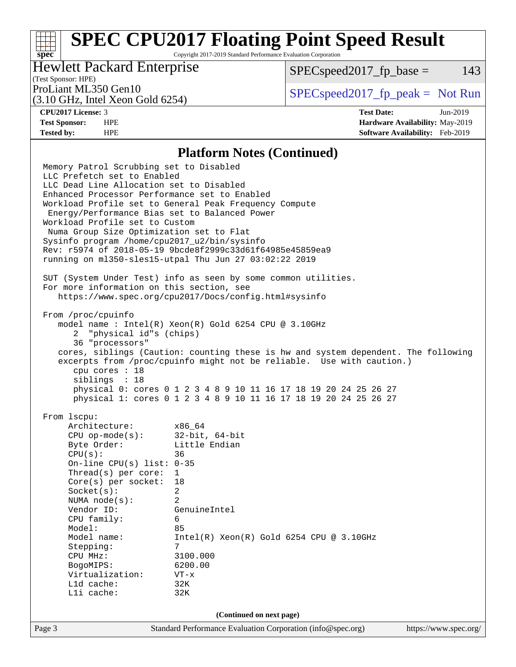# **[SPEC CPU2017 Floating Point Speed Result](http://www.spec.org/auto/cpu2017/Docs/result-fields.html#SPECCPU2017FloatingPointSpeedResult)**

Copyright 2017-2019 Standard Performance Evaluation Corporation

## Hewlett Packard Enterprise

 $SPEC speed2017<sub>fp</sub> base = 143$ 

## (Test Sponsor: HPE)

(3.10 GHz, Intel Xeon Gold 6254)

ProLiant ML350 Gen10  $SPEC speed2017$  [p\_peak = Not Run

**[spec](http://www.spec.org/)**

**[CPU2017 License:](http://www.spec.org/auto/cpu2017/Docs/result-fields.html#CPU2017License)** 3 **[Test Date:](http://www.spec.org/auto/cpu2017/Docs/result-fields.html#TestDate)** Jun-2019 **[Test Sponsor:](http://www.spec.org/auto/cpu2017/Docs/result-fields.html#TestSponsor)** HPE **[Hardware Availability:](http://www.spec.org/auto/cpu2017/Docs/result-fields.html#HardwareAvailability)** May-2019 **[Tested by:](http://www.spec.org/auto/cpu2017/Docs/result-fields.html#Testedby)** HPE **[Software Availability:](http://www.spec.org/auto/cpu2017/Docs/result-fields.html#SoftwareAvailability)** Feb-2019

#### **[Platform Notes \(Continued\)](http://www.spec.org/auto/cpu2017/Docs/result-fields.html#PlatformNotes)**

Page 3 Standard Performance Evaluation Corporation [\(info@spec.org\)](mailto:info@spec.org) <https://www.spec.org/> Memory Patrol Scrubbing set to Disabled LLC Prefetch set to Enabled LLC Dead Line Allocation set to Disabled Enhanced Processor Performance set to Enabled Workload Profile set to General Peak Frequency Compute Energy/Performance Bias set to Balanced Power Workload Profile set to Custom Numa Group Size Optimization set to Flat Sysinfo program /home/cpu2017\_u2/bin/sysinfo Rev: r5974 of 2018-05-19 9bcde8f2999c33d61f64985e45859ea9 running on ml350-sles15-utpal Thu Jun 27 03:02:22 2019 SUT (System Under Test) info as seen by some common utilities. For more information on this section, see <https://www.spec.org/cpu2017/Docs/config.html#sysinfo> From /proc/cpuinfo model name : Intel(R) Xeon(R) Gold 6254 CPU @ 3.10GHz 2 "physical id"s (chips) 36 "processors" cores, siblings (Caution: counting these is hw and system dependent. The following excerpts from /proc/cpuinfo might not be reliable. Use with caution.) cpu cores : 18 siblings : 18 physical 0: cores 0 1 2 3 4 8 9 10 11 16 17 18 19 20 24 25 26 27 physical 1: cores 0 1 2 3 4 8 9 10 11 16 17 18 19 20 24 25 26 27 From lscpu: Architecture: x86\_64 CPU op-mode(s): 32-bit, 64-bit Byte Order: Little Endian CPU(s): 36 On-line CPU(s) list: 0-35 Thread(s) per core: 1 Core(s) per socket: 18 Socket(s): 2 NUMA node(s): 2 Vendor ID: GenuineIntel CPU family: 6 Model: 85 Model name: Intel(R) Xeon(R) Gold 6254 CPU @ 3.10GHz Stepping: CPU MHz: 3100.000 BogoMIPS: 6200.00 Virtualization: VT-x L1d cache: 32K L1i cache: 32K **(Continued on next page)**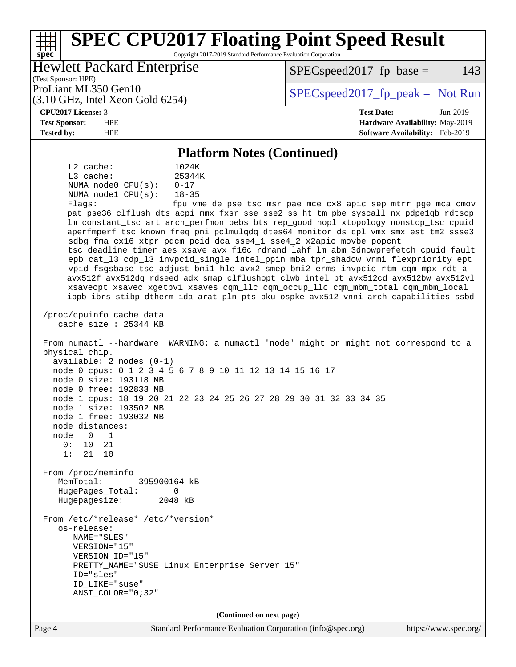#### Page 4 Standard Performance Evaluation Corporation [\(info@spec.org\)](mailto:info@spec.org) <https://www.spec.org/> **[spec](http://www.spec.org/) [SPEC CPU2017 Floating Point Speed Result](http://www.spec.org/auto/cpu2017/Docs/result-fields.html#SPECCPU2017FloatingPointSpeedResult)** Copyright 2017-2019 Standard Performance Evaluation Corporation (Test Sponsor: HPE) Hewlett Packard Enterprise (3.10 GHz, Intel Xeon Gold 6254) ProLiant ML350 Gen10  $SPEC speed2017$  [p\_peak = Not Run  $SPEC speed2017<sub>fp</sub> base = 143$ **[CPU2017 License:](http://www.spec.org/auto/cpu2017/Docs/result-fields.html#CPU2017License)** 3 **[Test Date:](http://www.spec.org/auto/cpu2017/Docs/result-fields.html#TestDate)** Jun-2019 **[Test Sponsor:](http://www.spec.org/auto/cpu2017/Docs/result-fields.html#TestSponsor)** HPE **[Hardware Availability:](http://www.spec.org/auto/cpu2017/Docs/result-fields.html#HardwareAvailability)** May-2019 **[Tested by:](http://www.spec.org/auto/cpu2017/Docs/result-fields.html#Testedby)** HPE **[Software Availability:](http://www.spec.org/auto/cpu2017/Docs/result-fields.html#SoftwareAvailability)** Feb-2019 **[Platform Notes \(Continued\)](http://www.spec.org/auto/cpu2017/Docs/result-fields.html#PlatformNotes)** L2 cache: 1024K L3 cache: 25344K NUMA node0 CPU(s): 0-17 NUMA node1 CPU(s): 18-35 Flags: fpu vme de pse tsc msr pae mce cx8 apic sep mtrr pge mca cmov pat pse36 clflush dts acpi mmx fxsr sse sse2 ss ht tm pbe syscall nx pdpe1gb rdtscp lm constant\_tsc art arch\_perfmon pebs bts rep\_good nopl xtopology nonstop\_tsc cpuid aperfmperf tsc\_known\_freq pni pclmulqdq dtes64 monitor ds\_cpl vmx smx est tm2 ssse3 sdbg fma cx16 xtpr pdcm pcid dca sse4\_1 sse4\_2 x2apic movbe popcnt tsc\_deadline\_timer aes xsave avx f16c rdrand lahf\_lm abm 3dnowprefetch cpuid\_fault epb cat\_l3 cdp\_l3 invpcid\_single intel\_ppin mba tpr\_shadow vnmi flexpriority ept vpid fsgsbase tsc\_adjust bmi1 hle avx2 smep bmi2 erms invpcid rtm cqm mpx rdt\_a avx512f avx512dq rdseed adx smap clflushopt clwb intel\_pt avx512cd avx512bw avx512vl xsaveopt xsavec xgetbv1 xsaves cqm\_llc cqm\_occup\_llc cqm\_mbm\_total cqm\_mbm\_local ibpb ibrs stibp dtherm ida arat pln pts pku ospke avx512\_vnni arch\_capabilities ssbd /proc/cpuinfo cache data cache size : 25344 KB From numactl --hardware WARNING: a numactl 'node' might or might not correspond to a physical chip. available: 2 nodes (0-1) node 0 cpus: 0 1 2 3 4 5 6 7 8 9 10 11 12 13 14 15 16 17 node 0 size: 193118 MB node 0 free: 192833 MB node 1 cpus: 18 19 20 21 22 23 24 25 26 27 28 29 30 31 32 33 34 35 node 1 size: 193502 MB node 1 free: 193032 MB node distances: node 0 1 0: 10 21 1: 21 10 From /proc/meminfo MemTotal: 395900164 kB HugePages\_Total: 0 Hugepagesize: 2048 kB From /etc/\*release\* /etc/\*version\* os-release: NAME="SLES" VERSION="15" VERSION\_ID="15" PRETTY\_NAME="SUSE Linux Enterprise Server 15" ID="sles" ID\_LIKE="suse" ANSI\_COLOR="0;32" **(Continued on next page)**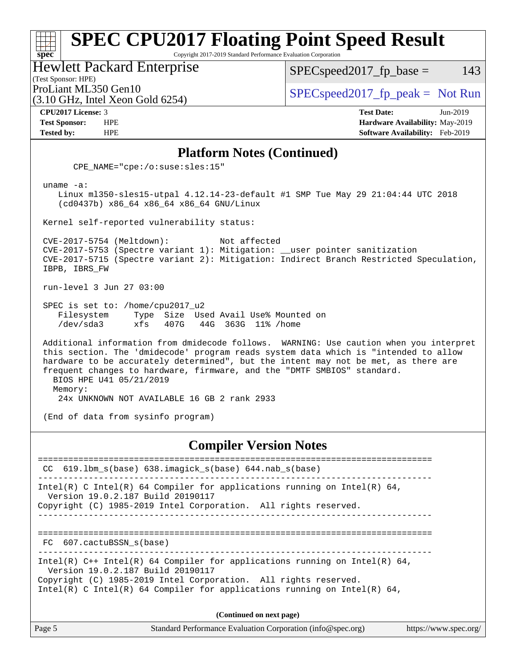#### **[spec](http://www.spec.org/) [SPEC CPU2017 Floating Point Speed Result](http://www.spec.org/auto/cpu2017/Docs/result-fields.html#SPECCPU2017FloatingPointSpeedResult)** Copyright 2017-2019 Standard Performance Evaluation Corporation Hewlett Packard Enterprise

(Test Sponsor: HPE)

(3.10 GHz, Intel Xeon Gold 6254)

 $SPEC speed2017_fp\_base = 143$ 

ProLiant ML350 Gen10  $SPEC speed2017_f$   $peak = Not Run$ 

**[CPU2017 License:](http://www.spec.org/auto/cpu2017/Docs/result-fields.html#CPU2017License)** 3 **[Test Date:](http://www.spec.org/auto/cpu2017/Docs/result-fields.html#TestDate)** Jun-2019 **[Test Sponsor:](http://www.spec.org/auto/cpu2017/Docs/result-fields.html#TestSponsor)** HPE **[Hardware Availability:](http://www.spec.org/auto/cpu2017/Docs/result-fields.html#HardwareAvailability)** May-2019 **[Tested by:](http://www.spec.org/auto/cpu2017/Docs/result-fields.html#Testedby)** HPE **[Software Availability:](http://www.spec.org/auto/cpu2017/Docs/result-fields.html#SoftwareAvailability)** Feb-2019

#### **[Platform Notes \(Continued\)](http://www.spec.org/auto/cpu2017/Docs/result-fields.html#PlatformNotes)**

CPE\_NAME="cpe:/o:suse:sles:15"

uname -a:

 Linux ml350-sles15-utpal 4.12.14-23-default #1 SMP Tue May 29 21:04:44 UTC 2018 (cd0437b) x86\_64 x86\_64 x86\_64 GNU/Linux

Kernel self-reported vulnerability status:

 CVE-2017-5754 (Meltdown): Not affected CVE-2017-5753 (Spectre variant 1): Mitigation: \_\_user pointer sanitization CVE-2017-5715 (Spectre variant 2): Mitigation: Indirect Branch Restricted Speculation, IBPB, IBRS\_FW

run-level 3 Jun 27 03:00

 SPEC is set to: /home/cpu2017\_u2 Filesystem Type Size Used Avail Use% Mounted on /dev/sda3 xfs 407G 44G 363G 11% /home

 Additional information from dmidecode follows. WARNING: Use caution when you interpret this section. The 'dmidecode' program reads system data which is "intended to allow hardware to be accurately determined", but the intent may not be met, as there are frequent changes to hardware, firmware, and the "DMTF SMBIOS" standard. BIOS HPE U41 05/21/2019 Memory:

24x UNKNOWN NOT AVAILABLE 16 GB 2 rank 2933

(End of data from sysinfo program)

#### **[Compiler Version Notes](http://www.spec.org/auto/cpu2017/Docs/result-fields.html#CompilerVersionNotes)**

============================================================================== CC 619.lbm\_s(base) 638.imagick\_s(base) 644.nab\_s(base) ------------------------------------------------------------------------------ Intel(R) C Intel(R) 64 Compiler for applications running on Intel(R) 64, Version 19.0.2.187 Build 20190117 Copyright (C) 1985-2019 Intel Corporation. All rights reserved. ------------------------------------------------------------------------------ ============================================================================== FC 607.cactuBSSN\_s(base) ------------------------------------------------------------------------------ Intel(R)  $C++$  Intel(R) 64 Compiler for applications running on Intel(R) 64, Version 19.0.2.187 Build 20190117 Copyright (C) 1985-2019 Intel Corporation. All rights reserved. Intel(R) C Intel(R) 64 Compiler for applications running on Intel(R)  $64$ , **(Continued on next page)**

Page 5 Standard Performance Evaluation Corporation [\(info@spec.org\)](mailto:info@spec.org) <https://www.spec.org/>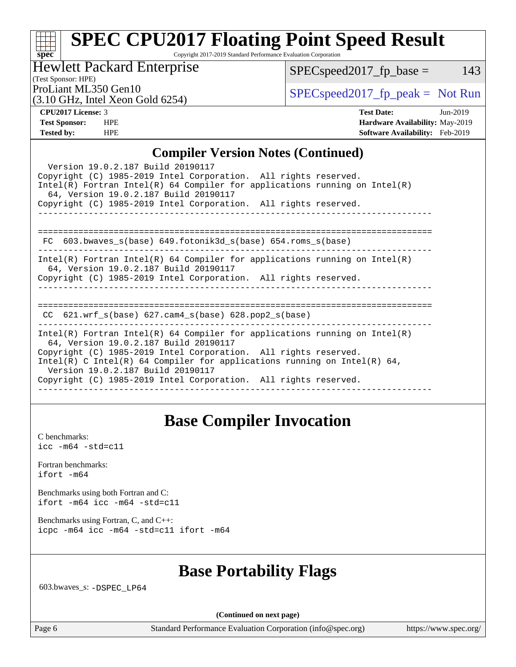## **[spec](http://www.spec.org/) [SPEC CPU2017 Floating Point Speed Result](http://www.spec.org/auto/cpu2017/Docs/result-fields.html#SPECCPU2017FloatingPointSpeedResult)**

Copyright 2017-2019 Standard Performance Evaluation Corporation

Hewlett Packard Enterprise

(3.10 GHz, Intel Xeon Gold 6254)

 $SPEC speed2017_fp\_base = 143$ 

(Test Sponsor: HPE)

ProLiant ML350 Gen10  $SPEC speed2017$  [p\_peak = Not Run

| <b>CPU2017 License: 3</b> |  |
|---------------------------|--|
|                           |  |

**[CPU2017 License:](http://www.spec.org/auto/cpu2017/Docs/result-fields.html#CPU2017License)** 3 **[Test Date:](http://www.spec.org/auto/cpu2017/Docs/result-fields.html#TestDate)** Jun-2019 **[Test Sponsor:](http://www.spec.org/auto/cpu2017/Docs/result-fields.html#TestSponsor)** HPE **[Hardware Availability:](http://www.spec.org/auto/cpu2017/Docs/result-fields.html#HardwareAvailability)** May-2019 **[Tested by:](http://www.spec.org/auto/cpu2017/Docs/result-fields.html#Testedby)** HPE **[Software Availability:](http://www.spec.org/auto/cpu2017/Docs/result-fields.html#SoftwareAvailability)** Feb-2019

### **[Compiler Version Notes \(Continued\)](http://www.spec.org/auto/cpu2017/Docs/result-fields.html#CompilerVersionNotes)**

| $\mathbf{C}$                                                                                                                                                                                                                |
|-----------------------------------------------------------------------------------------------------------------------------------------------------------------------------------------------------------------------------|
| Version 19.0.2.187 Build 20190117<br>Copyright (C) 1985-2019 Intel Corporation. All rights reserved.<br>Intel(R) Fortran Intel(R) 64 Compiler for applications running on Intel(R)<br>64, Version 19.0.2.187 Build 20190117 |
| Copyright (C) 1985-2019 Intel Corporation. All rights reserved.                                                                                                                                                             |
|                                                                                                                                                                                                                             |
|                                                                                                                                                                                                                             |
| $FC 603.bwaves_s(base) 649.fotonik3d_s(base) 654.roms_s(base)$                                                                                                                                                              |
| Intel(R) Fortran Intel(R) 64 Compiler for applications running on Intel(R)<br>64, Version 19.0.2.187 Build 20190117                                                                                                         |
| Copyright (C) 1985-2019 Intel Corporation. All rights reserved.                                                                                                                                                             |
|                                                                                                                                                                                                                             |
|                                                                                                                                                                                                                             |
| $CC$ 621.wrf_s(base) 627.cam4_s(base) 628.pop2_s(base)                                                                                                                                                                      |
| Intel(R) Fortran Intel(R) 64 Compiler for applications running on Intel(R)<br>64, Version 19.0.2.187 Build 20190117                                                                                                         |
| Copyright (C) 1985-2019 Intel Corporation. All rights reserved.                                                                                                                                                             |
| Intel(R) C Intel(R) 64 Compiler for applications running on Intel(R) 64,<br>Version 19.0.2.187 Build 20190117                                                                                                               |
| Copyright (C) 1985-2019 Intel Corporation. All rights reserved.                                                                                                                                                             |
|                                                                                                                                                                                                                             |

## **[Base Compiler Invocation](http://www.spec.org/auto/cpu2017/Docs/result-fields.html#BaseCompilerInvocation)**

[C benchmarks](http://www.spec.org/auto/cpu2017/Docs/result-fields.html#Cbenchmarks): [icc -m64 -std=c11](http://www.spec.org/cpu2017/results/res2019q3/cpu2017-20190708-16037.flags.html#user_CCbase_intel_icc_64bit_c11_33ee0cdaae7deeeab2a9725423ba97205ce30f63b9926c2519791662299b76a0318f32ddfffdc46587804de3178b4f9328c46fa7c2b0cd779d7a61945c91cd35)

[Fortran benchmarks](http://www.spec.org/auto/cpu2017/Docs/result-fields.html#Fortranbenchmarks): [ifort -m64](http://www.spec.org/cpu2017/results/res2019q3/cpu2017-20190708-16037.flags.html#user_FCbase_intel_ifort_64bit_24f2bb282fbaeffd6157abe4f878425411749daecae9a33200eee2bee2fe76f3b89351d69a8130dd5949958ce389cf37ff59a95e7a40d588e8d3a57e0c3fd751)

[Benchmarks using both Fortran and C](http://www.spec.org/auto/cpu2017/Docs/result-fields.html#BenchmarksusingbothFortranandC): [ifort -m64](http://www.spec.org/cpu2017/results/res2019q3/cpu2017-20190708-16037.flags.html#user_CC_FCbase_intel_ifort_64bit_24f2bb282fbaeffd6157abe4f878425411749daecae9a33200eee2bee2fe76f3b89351d69a8130dd5949958ce389cf37ff59a95e7a40d588e8d3a57e0c3fd751) [icc -m64 -std=c11](http://www.spec.org/cpu2017/results/res2019q3/cpu2017-20190708-16037.flags.html#user_CC_FCbase_intel_icc_64bit_c11_33ee0cdaae7deeeab2a9725423ba97205ce30f63b9926c2519791662299b76a0318f32ddfffdc46587804de3178b4f9328c46fa7c2b0cd779d7a61945c91cd35)

[Benchmarks using Fortran, C, and C++:](http://www.spec.org/auto/cpu2017/Docs/result-fields.html#BenchmarksusingFortranCandCXX) [icpc -m64](http://www.spec.org/cpu2017/results/res2019q3/cpu2017-20190708-16037.flags.html#user_CC_CXX_FCbase_intel_icpc_64bit_4ecb2543ae3f1412ef961e0650ca070fec7b7afdcd6ed48761b84423119d1bf6bdf5cad15b44d48e7256388bc77273b966e5eb805aefd121eb22e9299b2ec9d9) [icc -m64 -std=c11](http://www.spec.org/cpu2017/results/res2019q3/cpu2017-20190708-16037.flags.html#user_CC_CXX_FCbase_intel_icc_64bit_c11_33ee0cdaae7deeeab2a9725423ba97205ce30f63b9926c2519791662299b76a0318f32ddfffdc46587804de3178b4f9328c46fa7c2b0cd779d7a61945c91cd35) [ifort -m64](http://www.spec.org/cpu2017/results/res2019q3/cpu2017-20190708-16037.flags.html#user_CC_CXX_FCbase_intel_ifort_64bit_24f2bb282fbaeffd6157abe4f878425411749daecae9a33200eee2bee2fe76f3b89351d69a8130dd5949958ce389cf37ff59a95e7a40d588e8d3a57e0c3fd751)

## **[Base Portability Flags](http://www.spec.org/auto/cpu2017/Docs/result-fields.html#BasePortabilityFlags)**

603.bwaves\_s: [-DSPEC\\_LP64](http://www.spec.org/cpu2017/results/res2019q3/cpu2017-20190708-16037.flags.html#suite_basePORTABILITY603_bwaves_s_DSPEC_LP64)

**(Continued on next page)**

Page 6 Standard Performance Evaluation Corporation [\(info@spec.org\)](mailto:info@spec.org) <https://www.spec.org/>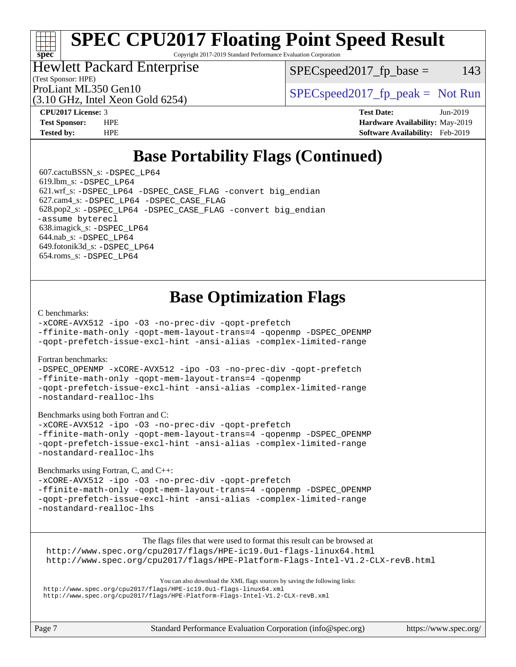# **[SPEC CPU2017 Floating Point Speed Result](http://www.spec.org/auto/cpu2017/Docs/result-fields.html#SPECCPU2017FloatingPointSpeedResult)**

Copyright 2017-2019 Standard Performance Evaluation Corporation

## Hewlett Packard Enterprise

(3.10 GHz, Intel Xeon Gold 6254)

 $SPEC speed2017<sub>fp</sub> base = 143$ 

(Test Sponsor: HPE)

ProLiant ML350 Gen10  $SPEC speed2017_fp\_peak = Not Run$ 

**[spec](http://www.spec.org/)**

**[CPU2017 License:](http://www.spec.org/auto/cpu2017/Docs/result-fields.html#CPU2017License)** 3 **[Test Date:](http://www.spec.org/auto/cpu2017/Docs/result-fields.html#TestDate)** Jun-2019 **[Test Sponsor:](http://www.spec.org/auto/cpu2017/Docs/result-fields.html#TestSponsor)** HPE **[Hardware Availability:](http://www.spec.org/auto/cpu2017/Docs/result-fields.html#HardwareAvailability)** May-2019 **[Tested by:](http://www.spec.org/auto/cpu2017/Docs/result-fields.html#Testedby)** HPE **[Software Availability:](http://www.spec.org/auto/cpu2017/Docs/result-fields.html#SoftwareAvailability)** Feb-2019

# **[Base Portability Flags \(Continued\)](http://www.spec.org/auto/cpu2017/Docs/result-fields.html#BasePortabilityFlags)**

 607.cactuBSSN\_s: [-DSPEC\\_LP64](http://www.spec.org/cpu2017/results/res2019q3/cpu2017-20190708-16037.flags.html#suite_basePORTABILITY607_cactuBSSN_s_DSPEC_LP64) 619.lbm\_s: [-DSPEC\\_LP64](http://www.spec.org/cpu2017/results/res2019q3/cpu2017-20190708-16037.flags.html#suite_basePORTABILITY619_lbm_s_DSPEC_LP64) 621.wrf\_s: [-DSPEC\\_LP64](http://www.spec.org/cpu2017/results/res2019q3/cpu2017-20190708-16037.flags.html#suite_basePORTABILITY621_wrf_s_DSPEC_LP64) [-DSPEC\\_CASE\\_FLAG](http://www.spec.org/cpu2017/results/res2019q3/cpu2017-20190708-16037.flags.html#b621.wrf_s_baseCPORTABILITY_DSPEC_CASE_FLAG) [-convert big\\_endian](http://www.spec.org/cpu2017/results/res2019q3/cpu2017-20190708-16037.flags.html#user_baseFPORTABILITY621_wrf_s_convert_big_endian_c3194028bc08c63ac5d04de18c48ce6d347e4e562e8892b8bdbdc0214820426deb8554edfa529a3fb25a586e65a3d812c835984020483e7e73212c4d31a38223) 627.cam4\_s: [-DSPEC\\_LP64](http://www.spec.org/cpu2017/results/res2019q3/cpu2017-20190708-16037.flags.html#suite_basePORTABILITY627_cam4_s_DSPEC_LP64) [-DSPEC\\_CASE\\_FLAG](http://www.spec.org/cpu2017/results/res2019q3/cpu2017-20190708-16037.flags.html#b627.cam4_s_baseCPORTABILITY_DSPEC_CASE_FLAG) 628.pop2\_s: [-DSPEC\\_LP64](http://www.spec.org/cpu2017/results/res2019q3/cpu2017-20190708-16037.flags.html#suite_basePORTABILITY628_pop2_s_DSPEC_LP64) [-DSPEC\\_CASE\\_FLAG](http://www.spec.org/cpu2017/results/res2019q3/cpu2017-20190708-16037.flags.html#b628.pop2_s_baseCPORTABILITY_DSPEC_CASE_FLAG) [-convert big\\_endian](http://www.spec.org/cpu2017/results/res2019q3/cpu2017-20190708-16037.flags.html#user_baseFPORTABILITY628_pop2_s_convert_big_endian_c3194028bc08c63ac5d04de18c48ce6d347e4e562e8892b8bdbdc0214820426deb8554edfa529a3fb25a586e65a3d812c835984020483e7e73212c4d31a38223) [-assume byterecl](http://www.spec.org/cpu2017/results/res2019q3/cpu2017-20190708-16037.flags.html#user_baseFPORTABILITY628_pop2_s_assume_byterecl_7e47d18b9513cf18525430bbf0f2177aa9bf368bc7a059c09b2c06a34b53bd3447c950d3f8d6c70e3faf3a05c8557d66a5798b567902e8849adc142926523472) 638.imagick\_s: [-DSPEC\\_LP64](http://www.spec.org/cpu2017/results/res2019q3/cpu2017-20190708-16037.flags.html#suite_basePORTABILITY638_imagick_s_DSPEC_LP64) 644.nab\_s: [-DSPEC\\_LP64](http://www.spec.org/cpu2017/results/res2019q3/cpu2017-20190708-16037.flags.html#suite_basePORTABILITY644_nab_s_DSPEC_LP64) 649.fotonik3d\_s: [-DSPEC\\_LP64](http://www.spec.org/cpu2017/results/res2019q3/cpu2017-20190708-16037.flags.html#suite_basePORTABILITY649_fotonik3d_s_DSPEC_LP64) 654.roms\_s: [-DSPEC\\_LP64](http://www.spec.org/cpu2017/results/res2019q3/cpu2017-20190708-16037.flags.html#suite_basePORTABILITY654_roms_s_DSPEC_LP64)

# **[Base Optimization Flags](http://www.spec.org/auto/cpu2017/Docs/result-fields.html#BaseOptimizationFlags)**

#### [C benchmarks](http://www.spec.org/auto/cpu2017/Docs/result-fields.html#Cbenchmarks):

[-xCORE-AVX512](http://www.spec.org/cpu2017/results/res2019q3/cpu2017-20190708-16037.flags.html#user_CCbase_f-xCORE-AVX512) [-ipo](http://www.spec.org/cpu2017/results/res2019q3/cpu2017-20190708-16037.flags.html#user_CCbase_f-ipo) [-O3](http://www.spec.org/cpu2017/results/res2019q3/cpu2017-20190708-16037.flags.html#user_CCbase_f-O3) [-no-prec-div](http://www.spec.org/cpu2017/results/res2019q3/cpu2017-20190708-16037.flags.html#user_CCbase_f-no-prec-div) [-qopt-prefetch](http://www.spec.org/cpu2017/results/res2019q3/cpu2017-20190708-16037.flags.html#user_CCbase_f-qopt-prefetch) [-ffinite-math-only](http://www.spec.org/cpu2017/results/res2019q3/cpu2017-20190708-16037.flags.html#user_CCbase_f_finite_math_only_cb91587bd2077682c4b38af759c288ed7c732db004271a9512da14a4f8007909a5f1427ecbf1a0fb78ff2a814402c6114ac565ca162485bbcae155b5e4258871) [-qopt-mem-layout-trans=4](http://www.spec.org/cpu2017/results/res2019q3/cpu2017-20190708-16037.flags.html#user_CCbase_f-qopt-mem-layout-trans_fa39e755916c150a61361b7846f310bcdf6f04e385ef281cadf3647acec3f0ae266d1a1d22d972a7087a248fd4e6ca390a3634700869573d231a252c784941a8) [-qopenmp](http://www.spec.org/cpu2017/results/res2019q3/cpu2017-20190708-16037.flags.html#user_CCbase_qopenmp_16be0c44f24f464004c6784a7acb94aca937f053568ce72f94b139a11c7c168634a55f6653758ddd83bcf7b8463e8028bb0b48b77bcddc6b78d5d95bb1df2967) [-DSPEC\\_OPENMP](http://www.spec.org/cpu2017/results/res2019q3/cpu2017-20190708-16037.flags.html#suite_CCbase_DSPEC_OPENMP)

[-qopt-prefetch-issue-excl-hint](http://www.spec.org/cpu2017/results/res2019q3/cpu2017-20190708-16037.flags.html#user_CCbase_f-qopt-prefetch-issue-excl-hint) [-ansi-alias](http://www.spec.org/cpu2017/results/res2019q3/cpu2017-20190708-16037.flags.html#user_CCbase_f-ansi-alias) [-complex-limited-range](http://www.spec.org/cpu2017/results/res2019q3/cpu2017-20190708-16037.flags.html#user_CCbase_f-complex-limited-range)

#### [Fortran benchmarks](http://www.spec.org/auto/cpu2017/Docs/result-fields.html#Fortranbenchmarks):

[-DSPEC\\_OPENMP](http://www.spec.org/cpu2017/results/res2019q3/cpu2017-20190708-16037.flags.html#suite_FCbase_DSPEC_OPENMP) [-xCORE-AVX512](http://www.spec.org/cpu2017/results/res2019q3/cpu2017-20190708-16037.flags.html#user_FCbase_f-xCORE-AVX512) [-ipo](http://www.spec.org/cpu2017/results/res2019q3/cpu2017-20190708-16037.flags.html#user_FCbase_f-ipo) [-O3](http://www.spec.org/cpu2017/results/res2019q3/cpu2017-20190708-16037.flags.html#user_FCbase_f-O3) [-no-prec-div](http://www.spec.org/cpu2017/results/res2019q3/cpu2017-20190708-16037.flags.html#user_FCbase_f-no-prec-div) [-qopt-prefetch](http://www.spec.org/cpu2017/results/res2019q3/cpu2017-20190708-16037.flags.html#user_FCbase_f-qopt-prefetch) [-ffinite-math-only](http://www.spec.org/cpu2017/results/res2019q3/cpu2017-20190708-16037.flags.html#user_FCbase_f_finite_math_only_cb91587bd2077682c4b38af759c288ed7c732db004271a9512da14a4f8007909a5f1427ecbf1a0fb78ff2a814402c6114ac565ca162485bbcae155b5e4258871) [-qopt-mem-layout-trans=4](http://www.spec.org/cpu2017/results/res2019q3/cpu2017-20190708-16037.flags.html#user_FCbase_f-qopt-mem-layout-trans_fa39e755916c150a61361b7846f310bcdf6f04e385ef281cadf3647acec3f0ae266d1a1d22d972a7087a248fd4e6ca390a3634700869573d231a252c784941a8) [-qopenmp](http://www.spec.org/cpu2017/results/res2019q3/cpu2017-20190708-16037.flags.html#user_FCbase_qopenmp_16be0c44f24f464004c6784a7acb94aca937f053568ce72f94b139a11c7c168634a55f6653758ddd83bcf7b8463e8028bb0b48b77bcddc6b78d5d95bb1df2967) [-qopt-prefetch-issue-excl-hint](http://www.spec.org/cpu2017/results/res2019q3/cpu2017-20190708-16037.flags.html#user_FCbase_f-qopt-prefetch-issue-excl-hint) [-ansi-alias](http://www.spec.org/cpu2017/results/res2019q3/cpu2017-20190708-16037.flags.html#user_FCbase_f-ansi-alias) [-complex-limited-range](http://www.spec.org/cpu2017/results/res2019q3/cpu2017-20190708-16037.flags.html#user_FCbase_f-complex-limited-range) [-nostandard-realloc-lhs](http://www.spec.org/cpu2017/results/res2019q3/cpu2017-20190708-16037.flags.html#user_FCbase_f_2003_std_realloc_82b4557e90729c0f113870c07e44d33d6f5a304b4f63d4c15d2d0f1fab99f5daaed73bdb9275d9ae411527f28b936061aa8b9c8f2d63842963b95c9dd6426b8a)

[Benchmarks using both Fortran and C](http://www.spec.org/auto/cpu2017/Docs/result-fields.html#BenchmarksusingbothFortranandC):

[-xCORE-AVX512](http://www.spec.org/cpu2017/results/res2019q3/cpu2017-20190708-16037.flags.html#user_CC_FCbase_f-xCORE-AVX512) [-ipo](http://www.spec.org/cpu2017/results/res2019q3/cpu2017-20190708-16037.flags.html#user_CC_FCbase_f-ipo) [-O3](http://www.spec.org/cpu2017/results/res2019q3/cpu2017-20190708-16037.flags.html#user_CC_FCbase_f-O3) [-no-prec-div](http://www.spec.org/cpu2017/results/res2019q3/cpu2017-20190708-16037.flags.html#user_CC_FCbase_f-no-prec-div) [-qopt-prefetch](http://www.spec.org/cpu2017/results/res2019q3/cpu2017-20190708-16037.flags.html#user_CC_FCbase_f-qopt-prefetch) [-ffinite-math-only](http://www.spec.org/cpu2017/results/res2019q3/cpu2017-20190708-16037.flags.html#user_CC_FCbase_f_finite_math_only_cb91587bd2077682c4b38af759c288ed7c732db004271a9512da14a4f8007909a5f1427ecbf1a0fb78ff2a814402c6114ac565ca162485bbcae155b5e4258871) [-qopt-mem-layout-trans=4](http://www.spec.org/cpu2017/results/res2019q3/cpu2017-20190708-16037.flags.html#user_CC_FCbase_f-qopt-mem-layout-trans_fa39e755916c150a61361b7846f310bcdf6f04e385ef281cadf3647acec3f0ae266d1a1d22d972a7087a248fd4e6ca390a3634700869573d231a252c784941a8) [-qopenmp](http://www.spec.org/cpu2017/results/res2019q3/cpu2017-20190708-16037.flags.html#user_CC_FCbase_qopenmp_16be0c44f24f464004c6784a7acb94aca937f053568ce72f94b139a11c7c168634a55f6653758ddd83bcf7b8463e8028bb0b48b77bcddc6b78d5d95bb1df2967) [-DSPEC\\_OPENMP](http://www.spec.org/cpu2017/results/res2019q3/cpu2017-20190708-16037.flags.html#suite_CC_FCbase_DSPEC_OPENMP) [-qopt-prefetch-issue-excl-hint](http://www.spec.org/cpu2017/results/res2019q3/cpu2017-20190708-16037.flags.html#user_CC_FCbase_f-qopt-prefetch-issue-excl-hint) [-ansi-alias](http://www.spec.org/cpu2017/results/res2019q3/cpu2017-20190708-16037.flags.html#user_CC_FCbase_f-ansi-alias) [-complex-limited-range](http://www.spec.org/cpu2017/results/res2019q3/cpu2017-20190708-16037.flags.html#user_CC_FCbase_f-complex-limited-range) [-nostandard-realloc-lhs](http://www.spec.org/cpu2017/results/res2019q3/cpu2017-20190708-16037.flags.html#user_CC_FCbase_f_2003_std_realloc_82b4557e90729c0f113870c07e44d33d6f5a304b4f63d4c15d2d0f1fab99f5daaed73bdb9275d9ae411527f28b936061aa8b9c8f2d63842963b95c9dd6426b8a)

[Benchmarks using Fortran, C, and C++:](http://www.spec.org/auto/cpu2017/Docs/result-fields.html#BenchmarksusingFortranCandCXX)

[-xCORE-AVX512](http://www.spec.org/cpu2017/results/res2019q3/cpu2017-20190708-16037.flags.html#user_CC_CXX_FCbase_f-xCORE-AVX512) [-ipo](http://www.spec.org/cpu2017/results/res2019q3/cpu2017-20190708-16037.flags.html#user_CC_CXX_FCbase_f-ipo) [-O3](http://www.spec.org/cpu2017/results/res2019q3/cpu2017-20190708-16037.flags.html#user_CC_CXX_FCbase_f-O3) [-no-prec-div](http://www.spec.org/cpu2017/results/res2019q3/cpu2017-20190708-16037.flags.html#user_CC_CXX_FCbase_f-no-prec-div) [-qopt-prefetch](http://www.spec.org/cpu2017/results/res2019q3/cpu2017-20190708-16037.flags.html#user_CC_CXX_FCbase_f-qopt-prefetch) [-ffinite-math-only](http://www.spec.org/cpu2017/results/res2019q3/cpu2017-20190708-16037.flags.html#user_CC_CXX_FCbase_f_finite_math_only_cb91587bd2077682c4b38af759c288ed7c732db004271a9512da14a4f8007909a5f1427ecbf1a0fb78ff2a814402c6114ac565ca162485bbcae155b5e4258871) [-qopt-mem-layout-trans=4](http://www.spec.org/cpu2017/results/res2019q3/cpu2017-20190708-16037.flags.html#user_CC_CXX_FCbase_f-qopt-mem-layout-trans_fa39e755916c150a61361b7846f310bcdf6f04e385ef281cadf3647acec3f0ae266d1a1d22d972a7087a248fd4e6ca390a3634700869573d231a252c784941a8) [-qopenmp](http://www.spec.org/cpu2017/results/res2019q3/cpu2017-20190708-16037.flags.html#user_CC_CXX_FCbase_qopenmp_16be0c44f24f464004c6784a7acb94aca937f053568ce72f94b139a11c7c168634a55f6653758ddd83bcf7b8463e8028bb0b48b77bcddc6b78d5d95bb1df2967) [-DSPEC\\_OPENMP](http://www.spec.org/cpu2017/results/res2019q3/cpu2017-20190708-16037.flags.html#suite_CC_CXX_FCbase_DSPEC_OPENMP) [-qopt-prefetch-issue-excl-hint](http://www.spec.org/cpu2017/results/res2019q3/cpu2017-20190708-16037.flags.html#user_CC_CXX_FCbase_f-qopt-prefetch-issue-excl-hint) [-ansi-alias](http://www.spec.org/cpu2017/results/res2019q3/cpu2017-20190708-16037.flags.html#user_CC_CXX_FCbase_f-ansi-alias) [-complex-limited-range](http://www.spec.org/cpu2017/results/res2019q3/cpu2017-20190708-16037.flags.html#user_CC_CXX_FCbase_f-complex-limited-range) [-nostandard-realloc-lhs](http://www.spec.org/cpu2017/results/res2019q3/cpu2017-20190708-16037.flags.html#user_CC_CXX_FCbase_f_2003_std_realloc_82b4557e90729c0f113870c07e44d33d6f5a304b4f63d4c15d2d0f1fab99f5daaed73bdb9275d9ae411527f28b936061aa8b9c8f2d63842963b95c9dd6426b8a)

The flags files that were used to format this result can be browsed at <http://www.spec.org/cpu2017/flags/HPE-ic19.0u1-flags-linux64.html> <http://www.spec.org/cpu2017/flags/HPE-Platform-Flags-Intel-V1.2-CLX-revB.html>

You can also download the XML flags sources by saving the following links: <http://www.spec.org/cpu2017/flags/HPE-ic19.0u1-flags-linux64.xml> <http://www.spec.org/cpu2017/flags/HPE-Platform-Flags-Intel-V1.2-CLX-revB.xml>